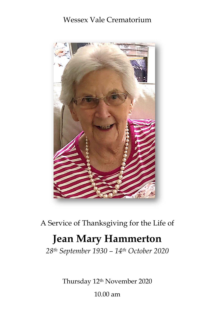## Wessex Vale Crematorium



A Service of Thanksgiving for the Life of

# **Jean Mary Hammerton**

*28th September 1930 – 14th October 2020*

Thursday 12th November 2020

10.00 am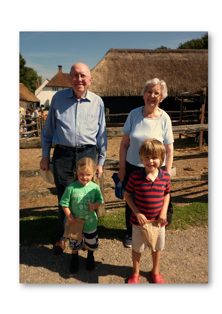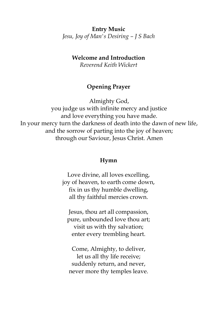**Entry Music** *Jesu, Joy of Man's Desiring – J S Bach*

#### **Welcome and Introduction**

*Reverend Keith Wickert*

#### **Opening Prayer**

Almighty God, you judge us with infinite mercy and justice and love everything you have made. In your mercy turn the darkness of death into the dawn of new life, and the sorrow of parting into the joy of heaven; through our Saviour, Jesus Christ. Amen

#### **Hymn**

Love divine, all loves excelling, joy of heaven, to earth come down, fix in us thy humble dwelling, all thy faithful mercies crown.

Jesus, thou art all compassion, pure, unbounded love thou art; visit us with thy salvation; enter every trembling heart.

Come, Almighty, to deliver, let us all thy life receive; suddenly return, and never, never more thy temples leave.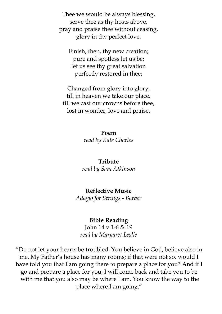Thee we would be always blessing, serve thee as thy hosts above, pray and praise thee without ceasing, glory in thy perfect love.

Finish, then, thy new creation; pure and spotless let us be; let us see thy great salvation perfectly restored in thee:

Changed from glory into glory, till in heaven we take our place, till we cast our crowns before thee, lost in wonder, love and praise.

#### **Poem**

*read by Kate Charles*

#### **Tribute**

*read by Sam Atkinson*

#### **Reflective Music**

*Adagio for Strings - Barber*

#### **Bible Reading**

John 14 v 1-6 & 19 *read by Margaret Leslie* 

"Do not let your hearts be troubled. You believe in God, believe also in me. My Father's house has many rooms; if that were not so, would I have told you that I am going there to prepare a place for you? And if I go and prepare a place for you, I will come back and take you to be with me that you also may be where I am. You know the way to the place where I am going."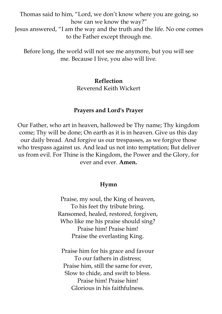Thomas said to him, "Lord, we don't know where you are going, so how can we know the way?" Jesus answered, "I am the way and the truth and the life. No one comes to the Father except through me.

Before long, the world will not see me anymore, but you will see me. Because I live, you also will live.

## **Reflection**

Reverend Keith Wickert

### **Prayers and [Lord's Prayer](https://www.churchofengland.org/weddings-baptisms-funerals/funerals/prayers-and-psalms.aspx#lords)**

Our Father, who art in heaven, hallowed be Thy name; Thy kingdom come; Thy will be done; On earth as it is in heaven. Give us this day our daily bread. And forgive us our trespasses, as we forgive those who trespass against us. And lead us not into temptation; But deliver us from evil. For Thine is the Kingdom, the Power and the Glory, for ever and ever. **Amen.**

## **Hymn**

Praise, my soul, the King of heaven, To his feet thy tribute bring. Ransomed, healed, restored, forgiven, Who like me his praise should sing? Praise him! Praise him! Praise the everlasting King.

Praise him for his grace and favour To our fathers in distress; Praise him, still the same for ever, Slow to chide, and swift to bless. Praise him! Praise him! Glorious in his faithfulness.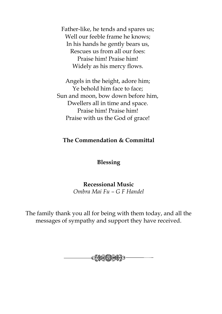Father-like, he tends and spares us; Well our feeble frame he knows; In his hands he gently bears us, Rescues us from all our foes: Praise him! Praise him! Widely as his mercy flows.

Angels in the height, adore him; Ye behold him face to face; Sun and moon, bow down before him, Dwellers all in time and space. Praise him! Praise him! Praise with us the God of grace!

## **The Commendation & Committal**

## **Blessing**

## **Recessional Music**

*Ombra Mai Fu – G F Handel*

The family thank you all for being with them today, and all the messages of sympathy and support they have received.

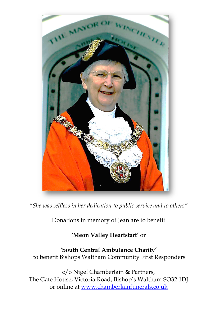

*"She was selfless in her dedication to public service and to others"*

Donations in memory of Jean are to benefit

**'Meon Valley Heartstart'** or

**'South Central Ambulance Charity'** to benefit Bishops Waltham Community First Responders

c/o Nigel Chamberlain & Partners, The Gate House, Victoria Road, Bishop's Waltham SO32 1DJ or online at [www.chamberlainfunerals.co.uk](http://www.chamberlainfunerals.co.uk/)